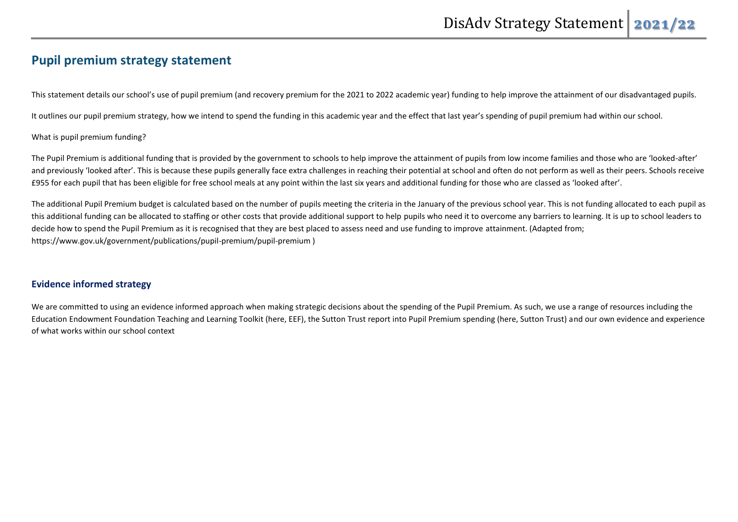# **Pupil premium strategy statement**

This statement details our school's use of pupil premium (and recovery premium for the 2021 to 2022 academic year) funding to help improve the attainment of our disadvantaged pupils.

It outlines our pupil premium strategy, how we intend to spend the funding in this academic year and the effect that last year's spending of pupil premium had within our school.

#### What is pupil premium funding?

The Pupil Premium is additional funding that is provided by the government to schools to help improve the attainment of pupils from low income families and those who are 'looked-after' and previously 'looked after'. This is because these pupils generally face extra challenges in reaching their potential at school and often do not perform as well as their peers. Schools receive £955 for each pupil that has been eligible for free school meals at any point within the last six years and additional funding for those who are classed as 'looked after'.

The additional Pupil Premium budget is calculated based on the number of pupils meeting the criteria in the January of the previous school year. This is not funding allocated to each pupil as this additional funding can be allocated to staffing or other costs that provide additional support to help pupils who need it to overcome any barriers to learning. It is up to school leaders to decide how to spend the Pupil Premium as it is recognised that they are best placed to assess need and use funding to improve attainment. (Adapted from; https://www.gov.uk/government/publications/pupil-premium/pupil-premium )

### **Evidence informed strategy**

We are committed to using an evidence informed approach when making strategic decisions about the spending of the Pupil Premium. As such, we use a range of resources including the Education Endowment Foundation Teaching and Learning Toolkit (here, EEF), the Sutton Trust report into Pupil Premium spending (here, Sutton Trust) and our own evidence and experience of what works within our school context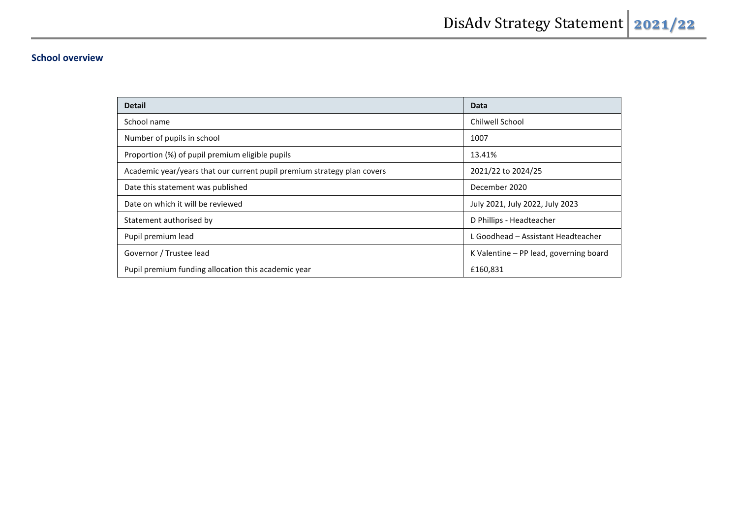## **School overview**

| <b>Detail</b>                                                           | Data                                   |
|-------------------------------------------------------------------------|----------------------------------------|
| School name                                                             | Chilwell School                        |
| Number of pupils in school                                              | 1007                                   |
| Proportion (%) of pupil premium eligible pupils                         | 13.41%                                 |
| Academic year/years that our current pupil premium strategy plan covers | 2021/22 to 2024/25                     |
| Date this statement was published                                       | December 2020                          |
| Date on which it will be reviewed                                       | July 2021, July 2022, July 2023        |
| Statement authorised by                                                 | D Phillips - Headteacher               |
| Pupil premium lead                                                      | L Goodhead - Assistant Headteacher     |
| Governor / Trustee lead                                                 | K Valentine – PP lead, governing board |
| Pupil premium funding allocation this academic year                     | £160,831                               |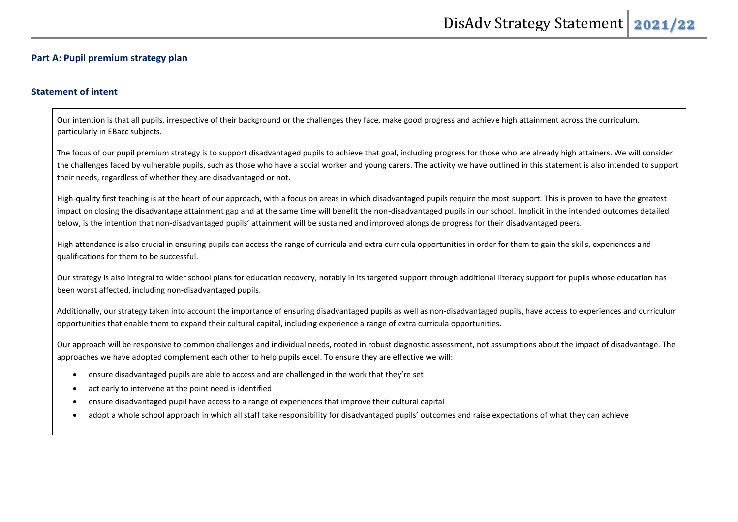#### **Part A: Pupil premium strategy plan**

### **Statement of intent**

Our intention is that all pupils, irrespective of their background or the challenges they face, make good progress and achieve high attainment across the curriculum, particularly in EBacc subjects.

The focus of our pupil premium strategy is to support disadvantaged pupils to achieve that goal, including progress for those who are already high attainers. We will consider the challenges faced by vulnerable pupils, such as those who have a social worker and young carers. The activity we have outlined in this statement is also intended to support their needs, regardless of whether they are disadvantaged or not.

High-quality first teaching is at the heart of our approach, with a focus on areas in which disadvantaged pupils require the most support. This is proven to have the greatest impact on closing the disadvantage attainment gap and at the same time will benefit the non-disadvantaged pupils in our school. Implicit in the intended outcomes detailed below, is the intention that non-disadvantaged pupils' attainment will be sustained and improved alongside progress for their disadvantaged peers.

High attendance is also crucial in ensuring pupils can access the range of curricula and extra curricula opportunities in order for them to gain the skills, experiences and qualifications for them to be successful.

Our strategy is also integral to wider school plans for education recovery, notably in its targeted support through additional literacy support for pupils whose education has been worst affected, including non-disadvantaged pupils.

Additionally, our strategy taken into account the importance of ensuring disadvantaged pupils as well as non-disadvantaged pupils, have access to experiences and curriculum opportunities that enable them to expand their cultural capital, including experience a range of extra curricula opportunities.

Our approach will be responsive to common challenges and individual needs, rooted in robust diagnostic assessment, not assumptions about the impact of disadvantage. The approaches we have adopted complement each other to help pupils excel. To ensure they are effective we will:

- ensure disadvantaged pupils are able to access and are challenged in the work that they're set
- act early to intervene at the point need is identified
- ensure disadvantaged pupil have access to a range of experiences that improve their cultural capital
- adopt a whole school approach in which all staff take responsibility for disadvantaged pupils' outcomes and raise expectations of what they can achieve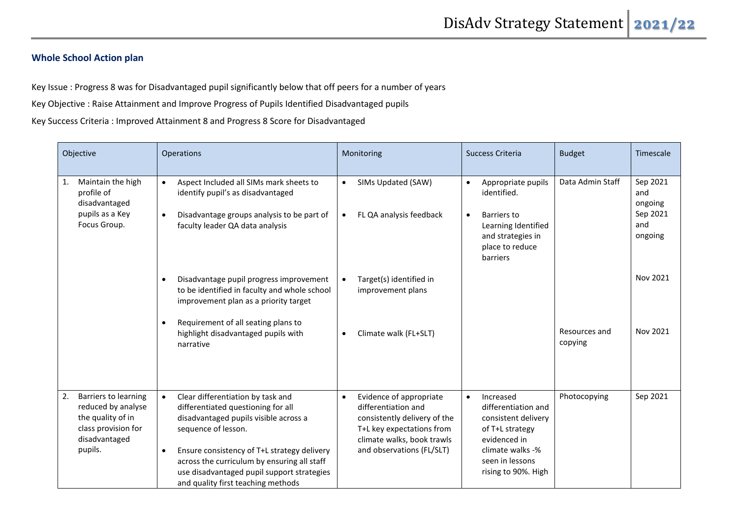### **Whole School Action plan**

Key Issue : Progress 8 was for Disadvantaged pupil significantly below that off peers for a number of years

Key Objective : Raise Attainment and Improve Progress of Pupils Identified Disadvantaged pupils

Key Success Criteria : Improved Attainment 8 and Progress 8 Score for Disadvantaged

| Objective                                                                                                                | Operations                                                                                                                                                                                                                                                                                                                             | Monitoring                                                                                                                                                                          | Success Criteria                                                                                                                                                      | <b>Budget</b>            | Timescale                                                |
|--------------------------------------------------------------------------------------------------------------------------|----------------------------------------------------------------------------------------------------------------------------------------------------------------------------------------------------------------------------------------------------------------------------------------------------------------------------------------|-------------------------------------------------------------------------------------------------------------------------------------------------------------------------------------|-----------------------------------------------------------------------------------------------------------------------------------------------------------------------|--------------------------|----------------------------------------------------------|
| Maintain the high<br>1.<br>profile of<br>disadvantaged<br>pupils as a Key<br>Focus Group.                                | Aspect Included all SIMs mark sheets to<br>$\bullet$<br>identify pupil's as disadvantaged<br>Disadvantage groups analysis to be part of<br>faculty leader QA data analysis                                                                                                                                                             | SIMs Updated (SAW)<br>$\bullet$<br>FL QA analysis feedback<br>$\bullet$                                                                                                             | Appropriate pupils<br>$\bullet$<br>identified.<br>Barriers to<br>$\bullet$<br>Learning Identified<br>and strategies in<br>place to reduce<br>barriers                 | Data Admin Staff         | Sep 2021<br>and<br>ongoing<br>Sep 2021<br>and<br>ongoing |
|                                                                                                                          | Disadvantage pupil progress improvement<br>to be identified in faculty and whole school<br>improvement plan as a priority target                                                                                                                                                                                                       | Target(s) identified in<br>improvement plans                                                                                                                                        |                                                                                                                                                                       |                          | Nov 2021                                                 |
|                                                                                                                          | Requirement of all seating plans to<br>highlight disadvantaged pupils with<br>narrative                                                                                                                                                                                                                                                | Climate walk (FL+SLT)<br>$\bullet$                                                                                                                                                  |                                                                                                                                                                       | Resources and<br>copying | Nov 2021                                                 |
| Barriers to learning<br>2.<br>reduced by analyse<br>the quality of in<br>class provision for<br>disadvantaged<br>pupils. | Clear differentiation by task and<br>$\bullet$<br>differentiated questioning for all<br>disadvantaged pupils visible across a<br>sequence of lesson.<br>Ensure consistency of T+L strategy delivery<br>across the curriculum by ensuring all staff<br>use disadvantaged pupil support strategies<br>and quality first teaching methods | Evidence of appropriate<br>$\bullet$<br>differentiation and<br>consistently delivery of the<br>T+L key expectations from<br>climate walks, book trawls<br>and observations (FL/SLT) | Increased<br>$\bullet$<br>differentiation and<br>consistent delivery<br>of T+L strategy<br>evidenced in<br>climate walks -%<br>seen in lessons<br>rising to 90%. High | Photocopying             | Sep 2021                                                 |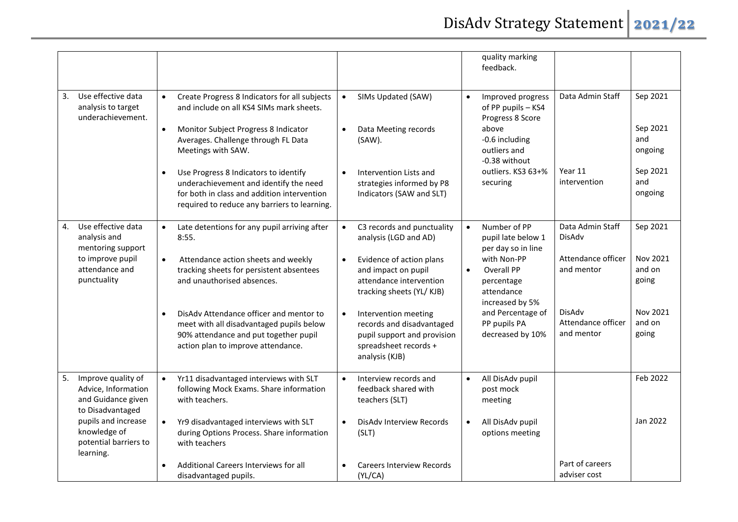|                                                                                                                                                                        |                                                                                                                                                                                                                                                                                                                                                                                                                         |                                                                                                                                                                                                                                                                                                                                     | quality marking<br>feedback.                                                                                                                                                                                                   |                                                                                                                     |                                                                        |
|------------------------------------------------------------------------------------------------------------------------------------------------------------------------|-------------------------------------------------------------------------------------------------------------------------------------------------------------------------------------------------------------------------------------------------------------------------------------------------------------------------------------------------------------------------------------------------------------------------|-------------------------------------------------------------------------------------------------------------------------------------------------------------------------------------------------------------------------------------------------------------------------------------------------------------------------------------|--------------------------------------------------------------------------------------------------------------------------------------------------------------------------------------------------------------------------------|---------------------------------------------------------------------------------------------------------------------|------------------------------------------------------------------------|
| Use effective data<br>3.<br>analysis to target<br>underachievement.                                                                                                    | Create Progress 8 Indicators for all subjects<br>$\bullet$<br>and include on all KS4 SIMs mark sheets.<br>Monitor Subject Progress 8 Indicator<br>$\bullet$<br>Averages. Challenge through FL Data<br>Meetings with SAW.<br>Use Progress 8 Indicators to identify<br>$\bullet$<br>underachievement and identify the need<br>for both in class and addition intervention<br>required to reduce any barriers to learning. | SIMs Updated (SAW)<br>$\bullet$<br>Data Meeting records<br>$\bullet$<br>(SAW).<br>$\bullet$<br>Intervention Lists and<br>strategies informed by P8<br>Indicators (SAW and SLT)                                                                                                                                                      | Improved progress<br>$\bullet$<br>of PP pupils - KS4<br>Progress 8 Score<br>above<br>-0.6 including<br>outliers and<br>-0.38 without<br>outliers. KS3 63+%<br>securing                                                         | Data Admin Staff<br>Year 11<br>intervention                                                                         | Sep 2021<br>Sep 2021<br>and<br>ongoing<br>Sep 2021<br>and<br>ongoing   |
| Use effective data<br>4.<br>analysis and<br>mentoring support<br>to improve pupil<br>attendance and<br>punctuality                                                     | Late detentions for any pupil arriving after<br>$\bullet$<br>8:55.<br>Attendance action sheets and weekly<br>$\bullet$<br>tracking sheets for persistent absentees<br>and unauthorised absences.<br>DisAdv Attendance officer and mentor to<br>meet with all disadvantaged pupils below<br>90% attendance and put together pupil<br>action plan to improve attendance.                                                  | C3 records and punctuality<br>$\bullet$<br>analysis (LGD and AD)<br>Evidence of action plans<br>$\bullet$<br>and impact on pupil<br>attendance intervention<br>tracking sheets (YL/KJB)<br>Intervention meeting<br>$\bullet$<br>records and disadvantaged<br>pupil support and provision<br>spreadsheet records +<br>analysis (KJB) | Number of PP<br>$\bullet$<br>pupil late below 1<br>per day so in line<br>with Non-PP<br><b>Overall PP</b><br>$\bullet$<br>percentage<br>attendance<br>increased by 5%<br>and Percentage of<br>PP pupils PA<br>decreased by 10% | Data Admin Staff<br>DisAdv<br>Attendance officer<br>and mentor<br><b>DisAdv</b><br>Attendance officer<br>and mentor | Sep 2021<br>Nov 2021<br>and on<br>going<br>Nov 2021<br>and on<br>going |
| Improve quality of<br>5.<br>Advice, Information<br>and Guidance given<br>to Disadvantaged<br>pupils and increase<br>knowledge of<br>potential barriers to<br>learning. | Yr11 disadvantaged interviews with SLT<br>following Mock Exams. Share information<br>with teachers.<br>Yr9 disadvantaged interviews with SLT<br>$\bullet$<br>during Options Process. Share information<br>with teachers                                                                                                                                                                                                 | Interview records and<br>$\bullet$<br>feedback shared with<br>teachers (SLT)<br>DisAdy Interview Records<br>$\bullet$<br>(SLT)                                                                                                                                                                                                      | All DisAdv pupil<br>post mock<br>meeting<br>All DisAdv pupil<br>$\bullet$<br>options meeting                                                                                                                                   |                                                                                                                     | Feb 2022<br>Jan 2022                                                   |
|                                                                                                                                                                        | Additional Careers Interviews for all<br>disadvantaged pupils.                                                                                                                                                                                                                                                                                                                                                          | <b>Careers Interview Records</b><br>(YL/CA)                                                                                                                                                                                                                                                                                         |                                                                                                                                                                                                                                | Part of careers<br>adviser cost                                                                                     |                                                                        |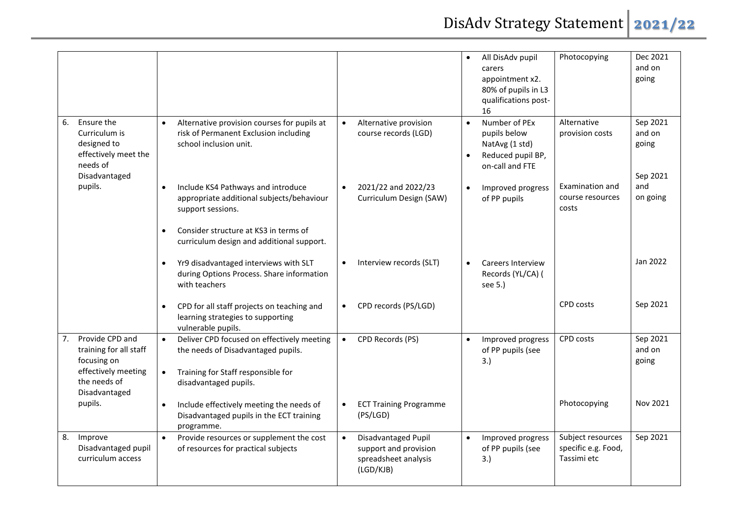|                                                                                                                        |                                                                                                                                                                                                         |                                                                                                | All DisAdv pupil<br>carers<br>appointment x2.<br>80% of pupils in L3<br>qualifications post-<br>16   | Photocopying                                            | Dec 2021<br>and on<br>going             |
|------------------------------------------------------------------------------------------------------------------------|---------------------------------------------------------------------------------------------------------------------------------------------------------------------------------------------------------|------------------------------------------------------------------------------------------------|------------------------------------------------------------------------------------------------------|---------------------------------------------------------|-----------------------------------------|
| Ensure the<br>6.<br>Curriculum is<br>designed to<br>effectively meet the<br>needs of<br>Disadvantaged                  | Alternative provision courses for pupils at<br>$\bullet$<br>risk of Permanent Exclusion including<br>school inclusion unit.                                                                             | Alternative provision<br>$\bullet$<br>course records (LGD)                                     | Number of PEx<br>$\bullet$<br>pupils below<br>NatAvg (1 std)<br>Reduced pupil BP,<br>on-call and FTE | Alternative<br>provision costs                          | Sep 2021<br>and on<br>going<br>Sep 2021 |
| pupils.                                                                                                                | Include KS4 Pathways and introduce<br>appropriate additional subjects/behaviour<br>support sessions.<br>Consider structure at KS3 in terms of<br>$\bullet$<br>curriculum design and additional support. | 2021/22 and 2022/23<br>$\bullet$<br>Curriculum Design (SAW)                                    | Improved progress<br>$\bullet$<br>of PP pupils                                                       | Examination and<br>course resources<br>costs            | and<br>on going                         |
|                                                                                                                        | Yr9 disadvantaged interviews with SLT<br>during Options Process. Share information<br>with teachers                                                                                                     | Interview records (SLT)<br>$\bullet$                                                           | <b>Careers Interview</b><br>Records (YL/CA) (<br>see 5.)                                             |                                                         | Jan 2022                                |
|                                                                                                                        | CPD for all staff projects on teaching and<br>$\bullet$<br>learning strategies to supporting<br>vulnerable pupils.                                                                                      | CPD records (PS/LGD)<br>$\bullet$                                                              |                                                                                                      | <b>CPD</b> costs                                        | Sep 2021                                |
| Provide CPD and<br>7.<br>training for all staff<br>focusing on<br>effectively meeting<br>the needs of<br>Disadvantaged | Deliver CPD focused on effectively meeting<br>$\bullet$<br>the needs of Disadvantaged pupils.<br>Training for Staff responsible for<br>disadvantaged pupils.                                            | CPD Records (PS)<br>$\bullet$                                                                  | Improved progress<br>$\bullet$<br>of PP pupils (see<br>3.)                                           | CPD costs                                               | Sep 2021<br>and on<br>going             |
| pupils.                                                                                                                | Include effectively meeting the needs of<br>$\bullet$<br>Disadvantaged pupils in the ECT training<br>programme.                                                                                         | <b>ECT Training Programme</b><br>$\bullet$<br>(PS/LGD)                                         |                                                                                                      | Photocopying                                            | Nov 2021                                |
| Improve<br>8.<br>Disadvantaged pupil<br>curriculum access                                                              | $\bullet$<br>Provide resources or supplement the cost<br>of resources for practical subjects                                                                                                            | Disadvantaged Pupil<br>$\bullet$<br>support and provision<br>spreadsheet analysis<br>(LGD/KJB) | Improved progress<br>of PP pupils (see<br>3.)                                                        | Subject resources<br>specific e.g. Food,<br>Tassimi etc | Sep 2021                                |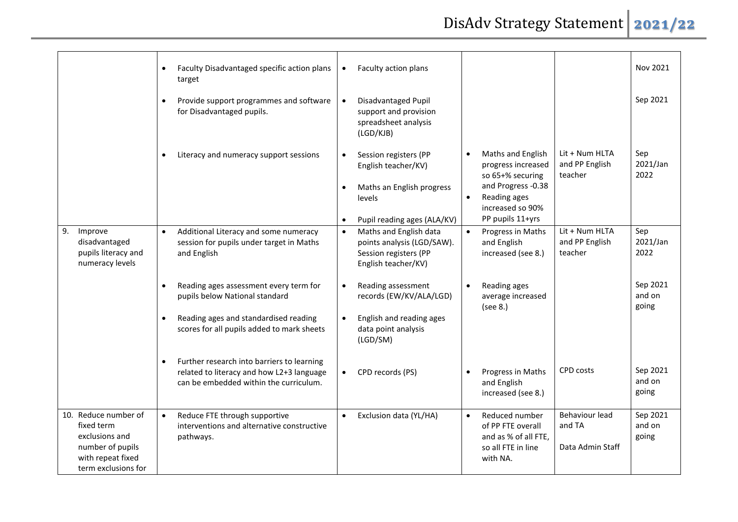|                                                                                                                      | Faculty Disadvantaged specific action plans<br>$\bullet$<br>target                                                                                              | Faculty action plans<br>$\bullet$                                                                                                                         |                                                                                                                                                        | Nov 2021                                                                    |
|----------------------------------------------------------------------------------------------------------------------|-----------------------------------------------------------------------------------------------------------------------------------------------------------------|-----------------------------------------------------------------------------------------------------------------------------------------------------------|--------------------------------------------------------------------------------------------------------------------------------------------------------|-----------------------------------------------------------------------------|
|                                                                                                                      | Provide support programmes and software<br>for Disadvantaged pupils.                                                                                            | Disadvantaged Pupil<br>$\bullet$<br>support and provision<br>spreadsheet analysis<br>(LGD/KJB)                                                            |                                                                                                                                                        | Sep 2021                                                                    |
|                                                                                                                      | Literacy and numeracy support sessions<br>$\bullet$                                                                                                             | Session registers (PP<br>$\bullet$<br>English teacher/KV)<br>Maths an English progress<br>$\bullet$<br>levels<br>Pupil reading ages (ALA/KV)<br>$\bullet$ | Maths and English<br>$\bullet$<br>progress increased<br>so 65+% securing<br>and Progress -0.38<br>Reading ages<br>increased so 90%<br>PP pupils 11+yrs | Lit + Num HLTA<br>Sep<br>2021/Jan<br>and PP English<br>2022<br>teacher      |
| Improve<br>9.<br>disadvantaged<br>pupils literacy and<br>numeracy levels                                             | Additional Literacy and some numeracy<br>$\bullet$<br>session for pupils under target in Maths<br>and English                                                   | Maths and English data<br>$\bullet$<br>points analysis (LGD/SAW).<br>Session registers (PP<br>English teacher/KV)                                         | Progress in Maths<br>$\bullet$<br>and English<br>increased (see 8.)                                                                                    | Lit + Num HLTA<br>Sep<br>and PP English<br>2021/Jan<br>teacher<br>2022      |
|                                                                                                                      | Reading ages assessment every term for<br>pupils below National standard<br>Reading ages and standardised reading<br>scores for all pupils added to mark sheets | Reading assessment<br>$\bullet$<br>records (EW/KV/ALA/LGD)<br>English and reading ages<br>$\bullet$<br>data point analysis<br>(LGD/SM)                    | Reading ages<br>average increased<br>(see 8.)                                                                                                          | Sep 2021<br>and on<br>going                                                 |
|                                                                                                                      | Further research into barriers to learning<br>related to literacy and how L2+3 language<br>can be embedded within the curriculum.                               | CPD records (PS)<br>$\bullet$                                                                                                                             | Progress in Maths<br>and English<br>increased (see 8.)                                                                                                 | Sep 2021<br>CPD costs<br>and on<br>going                                    |
| 10. Reduce number of<br>fixed term<br>exclusions and<br>number of pupils<br>with repeat fixed<br>term exclusions for | Reduce FTE through supportive<br>$\bullet$<br>interventions and alternative constructive<br>pathways.                                                           | Exclusion data (YL/HA)<br>$\bullet$                                                                                                                       | Reduced number<br>$\bullet$<br>of PP FTE overall<br>and as % of all FTE,<br>so all FTE in line<br>with NA.                                             | Behaviour lead<br>Sep 2021<br>and on<br>and TA<br>going<br>Data Admin Staff |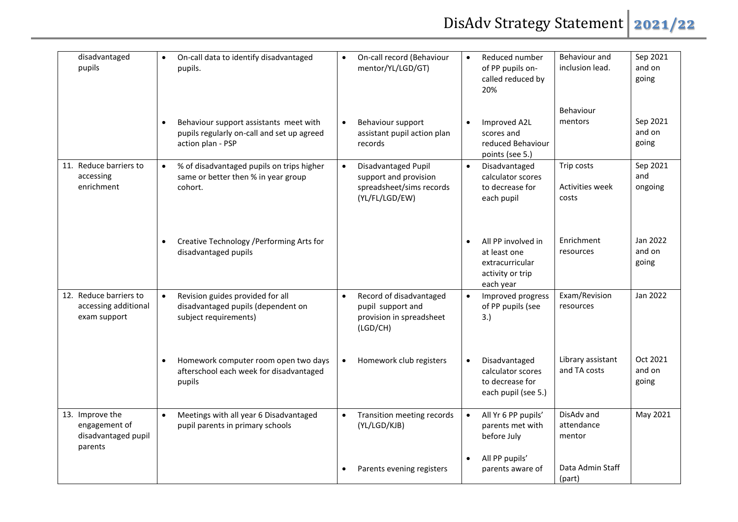| disadvantaged<br>pupils                                            | On-call data to identify disadvantaged<br>$\bullet$<br>pupils.                                               | On-call record (Behaviour<br>$\bullet$<br>mentor/YL/LGD/GT)                                             | Behaviour and<br>Reduced number<br>of PP pupils on-<br>inclusion lead.<br>called reduced by<br>20%                                | Sep 2021<br>and on<br>going |
|--------------------------------------------------------------------|--------------------------------------------------------------------------------------------------------------|---------------------------------------------------------------------------------------------------------|-----------------------------------------------------------------------------------------------------------------------------------|-----------------------------|
|                                                                    | Behaviour support assistants meet with<br>pupils regularly on-call and set up agreed<br>action plan - PSP    | Behaviour support<br>$\bullet$<br>assistant pupil action plan<br>records                                | Behaviour<br>mentors<br>Improved A2L<br>$\bullet$<br>scores and<br>reduced Behaviour<br>points (see 5.)                           | Sep 2021<br>and on<br>going |
| 11. Reduce barriers to<br>accessing<br>enrichment                  | % of disadvantaged pupils on trips higher<br>$\bullet$<br>same or better then % in year group<br>cohort.     | Disadvantaged Pupil<br>$\bullet$<br>support and provision<br>spreadsheet/sims records<br>(YL/FL/LGD/EW) | Trip costs<br>Disadvantaged<br>$\bullet$<br>calculator scores<br><b>Activities week</b><br>to decrease for<br>each pupil<br>costs | Sep 2021<br>and<br>ongoing  |
|                                                                    | Creative Technology / Performing Arts for<br>disadvantaged pupils                                            |                                                                                                         | Enrichment<br>All PP involved in<br>$\bullet$<br>resources<br>at least one<br>extracurricular<br>activity or trip<br>each year    | Jan 2022<br>and on<br>going |
| 12. Reduce barriers to<br>accessing additional<br>exam support     | Revision guides provided for all<br>$\bullet$<br>disadvantaged pupils (dependent on<br>subject requirements) | Record of disadvantaged<br>$\bullet$<br>pupil support and<br>provision in spreadsheet<br>(LGD/CH)       | Exam/Revision<br>Improved progress<br>of PP pupils (see<br>resources<br>3.)                                                       | Jan 2022                    |
|                                                                    | Homework computer room open two days<br>afterschool each week for disadvantaged<br>pupils                    | Homework club registers<br>$\bullet$                                                                    | Library assistant<br>Disadvantaged<br>$\bullet$<br>and TA costs<br>calculator scores<br>to decrease for<br>each pupil (see 5.)    | Oct 2021<br>and on<br>going |
| 13. Improve the<br>engagement of<br>disadvantaged pupil<br>parents | Meetings with all year 6 Disadvantaged<br>$\bullet$<br>pupil parents in primary schools                      | Transition meeting records<br>$\bullet$<br>(YL/LGD/KJB)                                                 | DisAdv and<br>All Yr 6 PP pupils'<br>$\bullet$<br>attendance<br>parents met with<br>before July<br>mentor                         | May 2021                    |
|                                                                    |                                                                                                              | Parents evening registers<br>$\bullet$                                                                  | All PP pupils'<br>$\bullet$<br>Data Admin Staff<br>parents aware of<br>(part)                                                     |                             |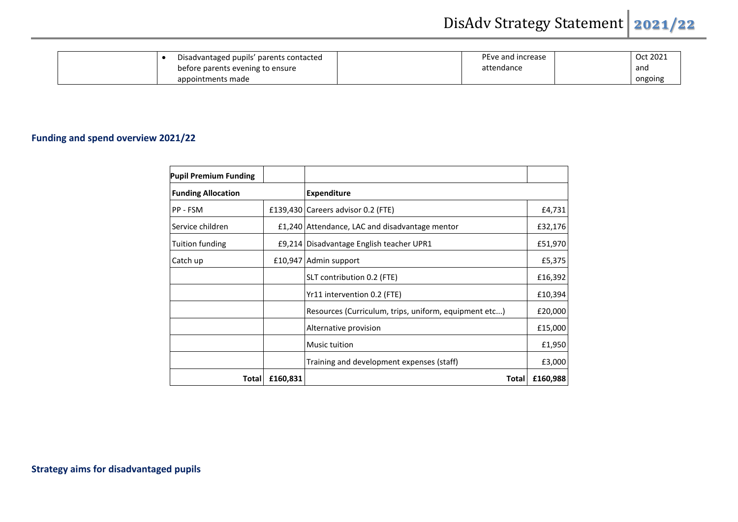| Disadvantaged pupils' parents contacted | PEve and increase | Oct 2021 |
|-----------------------------------------|-------------------|----------|
| before parents evening to ensure        | attendance        | and      |
| appointments made                       |                   | ongoing  |

## **Funding and spend overview 2021/22**

| <b>Pupil Premium Funding</b> |          |                                                       |          |
|------------------------------|----------|-------------------------------------------------------|----------|
| <b>Funding Allocation</b>    |          | <b>Expenditure</b>                                    |          |
| PP - FSM                     |          | £139,430 Careers advisor 0.2 (FTE)                    | £4,731   |
| Service children             |          | £1,240 Attendance, LAC and disadvantage mentor        | £32,176  |
| Tuition funding              |          | £9,214 Disadvantage English teacher UPR1              | £51,970  |
| Catch up                     |          | £10,947 Admin support                                 | £5,375   |
|                              |          | SLT contribution 0.2 (FTE)                            | £16,392  |
|                              |          | Yr11 intervention 0.2 (FTE)                           | £10,394  |
|                              |          | Resources (Curriculum, trips, uniform, equipment etc) | £20,000  |
|                              |          | Alternative provision                                 | £15,000  |
|                              |          | Music tuition                                         | £1,950   |
|                              |          | Training and development expenses (staff)             | £3,000   |
| Total                        | £160,831 | <b>Total</b>                                          | £160,988 |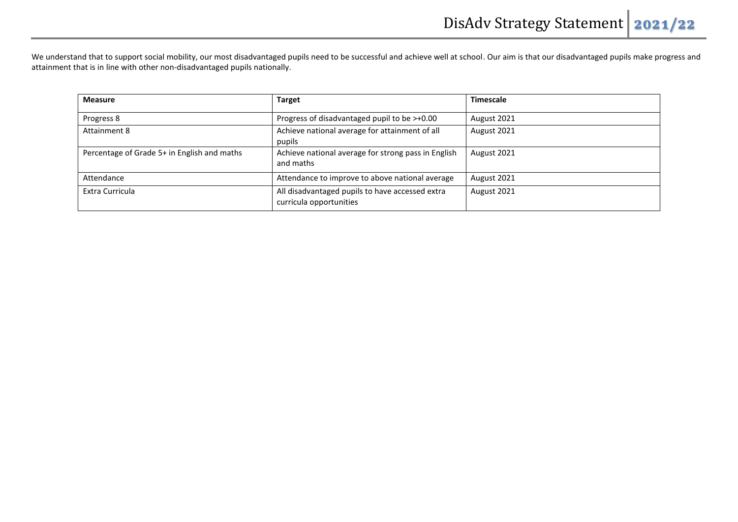We understand that to support social mobility, our most disadvantaged pupils need to be successful and achieve well at school. Our aim is that our disadvantaged pupils make progress and attainment that is in line with other non-disadvantaged pupils nationally.

| <b>Measure</b>                              | <b>Target</b>                                                              | <b>Timescale</b> |
|---------------------------------------------|----------------------------------------------------------------------------|------------------|
| Progress 8                                  | Progress of disadvantaged pupil to be >+0.00                               | August 2021      |
| Attainment 8                                | Achieve national average for attainment of all<br>pupils                   | August 2021      |
| Percentage of Grade 5+ in English and maths | Achieve national average for strong pass in English<br>and maths           | August 2021      |
| Attendance                                  | Attendance to improve to above national average                            | August 2021      |
| Extra Curricula                             | All disadvantaged pupils to have accessed extra<br>curricula opportunities | August 2021      |